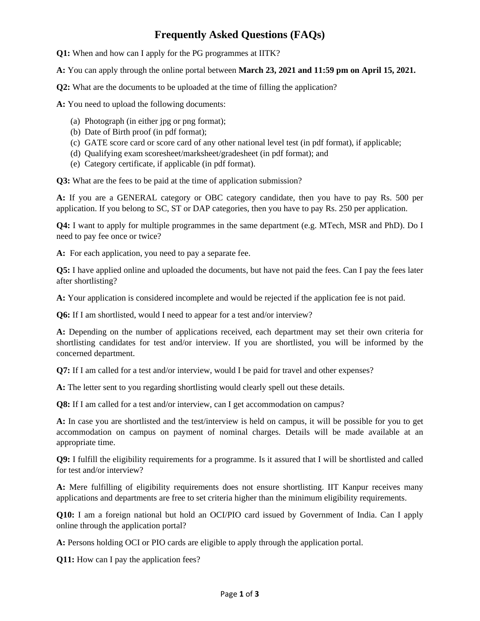## **Frequently Asked Questions (FAQs)**

**Q1:** When and how can I apply for the PG programmes at IITK?

**A:** You can apply through the online portal between **March 23, 2021 and 11:59 pm on April 15, 2021.**

**Q2:** What are the documents to be uploaded at the time of filling the application?

**A:** You need to upload the following documents:

- (a) Photograph (in either jpg or png format);
- (b) Date of Birth proof (in pdf format);
- (c) GATE score card or score card of any other national level test (in pdf format), if applicable;
- (d) Qualifying exam scoresheet/marksheet/gradesheet (in pdf format); and
- (e) Category certificate, if applicable (in pdf format).

**Q3:** What are the fees to be paid at the time of application submission?

**A:** If you are a GENERAL category or OBC category candidate, then you have to pay Rs. 500 per application. If you belong to SC, ST or DAP categories, then you have to pay Rs. 250 per application.

**Q4:** I want to apply for multiple programmes in the same department (e.g. MTech, MSR and PhD). Do I need to pay fee once or twice?

**A:** For each application, you need to pay a separate fee.

**Q5:** I have applied online and uploaded the documents, but have not paid the fees. Can I pay the fees later after shortlisting?

**A:** Your application is considered incomplete and would be rejected if the application fee is not paid.

**Q6:** If I am shortlisted, would I need to appear for a test and/or interview?

**A:** Depending on the number of applications received, each department may set their own criteria for shortlisting candidates for test and/or interview. If you are shortlisted, you will be informed by the concerned department.

**Q7:** If I am called for a test and/or interview, would I be paid for travel and other expenses?

**A:** The letter sent to you regarding shortlisting would clearly spell out these details.

**Q8:** If I am called for a test and/or interview, can I get accommodation on campus?

**A:** In case you are shortlisted and the test/interview is held on campus, it will be possible for you to get accommodation on campus on payment of nominal charges. Details will be made available at an appropriate time.

**Q9:** I fulfill the eligibility requirements for a programme. Is it assured that I will be shortlisted and called for test and/or interview?

**A:** Mere fulfilling of eligibility requirements does not ensure shortlisting. IIT Kanpur receives many applications and departments are free to set criteria higher than the minimum eligibility requirements.

**Q10:** I am a foreign national but hold an OCI/PIO card issued by Government of India. Can I apply online through the application portal?

**A:** Persons holding OCI or PIO cards are eligible to apply through the application portal.

**Q11:** How can I pay the application fees?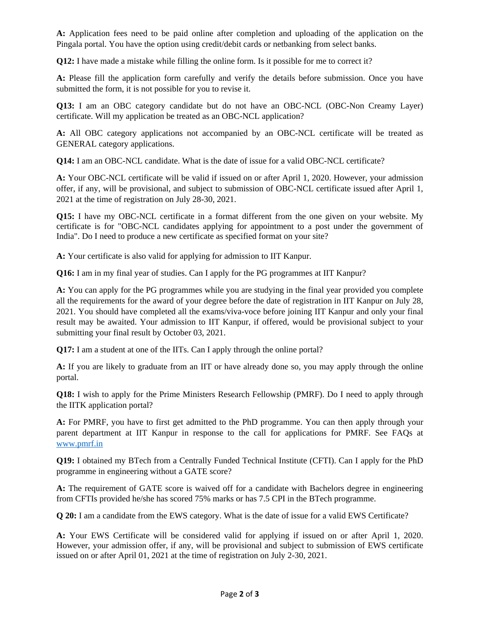**A:** Application fees need to be paid online after completion and uploading of the application on the Pingala portal. You have the option using credit/debit cards or netbanking from select banks.

**Q12:** I have made a mistake while filling the online form. Is it possible for me to correct it?

**A:** Please fill the application form carefully and verify the details before submission. Once you have submitted the form, it is not possible for you to revise it.

**Q13:** I am an OBC category candidate but do not have an OBC-NCL (OBC-Non Creamy Layer) certificate. Will my application be treated as an OBC-NCL application?

**A:** All OBC category applications not accompanied by an OBC-NCL certificate will be treated as GENERAL category applications.

**Q14:** I am an OBC-NCL candidate. What is the date of issue for a valid OBC-NCL certificate?

**A:** Your OBC-NCL certificate will be valid if issued on or after April 1, 2020. However, your admission offer, if any, will be provisional, and subject to submission of OBC-NCL certificate issued after April 1, 2021 at the time of registration on July 28-30, 2021.

**Q15:** I have my OBC-NCL certificate in a format different from the one given on your website. My certificate is for "OBC-NCL candidates applying for appointment to a post under the government of India". Do I need to produce a new certificate as specified format on your site?

**A:** Your certificate is also valid for applying for admission to IIT Kanpur.

**Q16:** I am in my final year of studies. Can I apply for the PG programmes at IIT Kanpur?

**A:** You can apply for the PG programmes while you are studying in the final year provided you complete all the requirements for the award of your degree before the date of registration in IIT Kanpur on July 28, 2021. You should have completed all the exams/viva-voce before joining IIT Kanpur and only your final result may be awaited. Your admission to IIT Kanpur, if offered, would be provisional subject to your submitting your final result by October 03, 2021.

**Q17:** I am a student at one of the IITs. Can I apply through the online portal?

**A:** If you are likely to graduate from an IIT or have already done so, you may apply through the online portal.

**Q18:** I wish to apply for the Prime Ministers Research Fellowship (PMRF). Do I need to apply through the IITK application portal?

**A:** For PMRF, you have to first get admitted to the PhD programme. You can then apply through your parent department at IIT Kanpur in response to the call for applications for PMRF. See FAQs at www.pmrf.in

**Q19:** I obtained my BTech from a Centrally Funded Technical Institute (CFTI). Can I apply for the PhD programme in engineering without a GATE score?

**A:** The requirement of GATE score is waived off for a candidate with Bachelors degree in engineering from CFTIs provided he/she has scored 75% marks or has 7.5 CPI in the BTech programme.

**Q 20:** I am a candidate from the EWS category. What is the date of issue for a valid EWS Certificate?

**A:** Your EWS Certificate will be considered valid for applying if issued on or after April 1, 2020. However, your admission offer, if any, will be provisional and subject to submission of EWS certificate issued on or after April 01, 2021 at the time of registration on July 2-30, 2021.